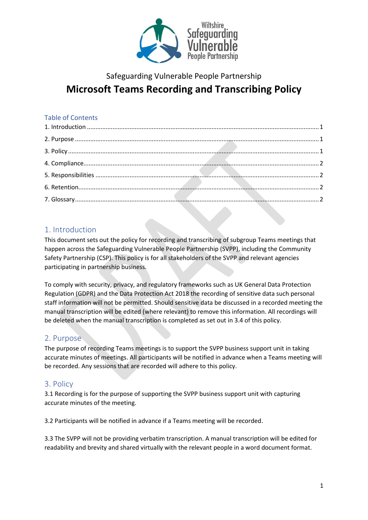

# Safeguarding Vulnerable People Partnership

# **Microsoft Teams Recording and Transcribing Policy**

## Table of Contents

## <span id="page-0-0"></span>1. Introduction

This document sets out the policy for recording and transcribing of subgroup Teams meetings that happen across the Safeguarding Vulnerable People Partnership (SVPP), including the Community Safety Partnership (CSP). This policy is for all stakeholders of the SVPP and relevant agencies participating in partnership business.

To comply with security, privacy, and regulatory frameworks such as UK General Data Protection Regulation (GDPR) and the Data Protection Act 2018 the recording of sensitive data such personal staff information will not be permitted. Should sensitive data be discussed in a recorded meeting the manual transcription will be edited (where relevant) to remove this information. All recordings will be deleted when the manual transcription is completed as set out in 3.4 of this policy.

# <span id="page-0-1"></span>2. Purpose

The purpose of recording Teams meetings is to support the SVPP business support unit in taking accurate minutes of meetings. All participants will be notified in advance when a Teams meeting will be recorded. Any sessions that are recorded will adhere to this policy.

## <span id="page-0-2"></span>3. Policy

3.1 Recording is for the purpose of supporting the SVPP business support unit with capturing accurate minutes of the meeting.

3.2 Participants will be notified in advance if a Teams meeting will be recorded.

3.3 The SVPP will not be providing verbatim transcription. A manual transcription will be edited for readability and brevity and shared virtually with the relevant people in a word document format.